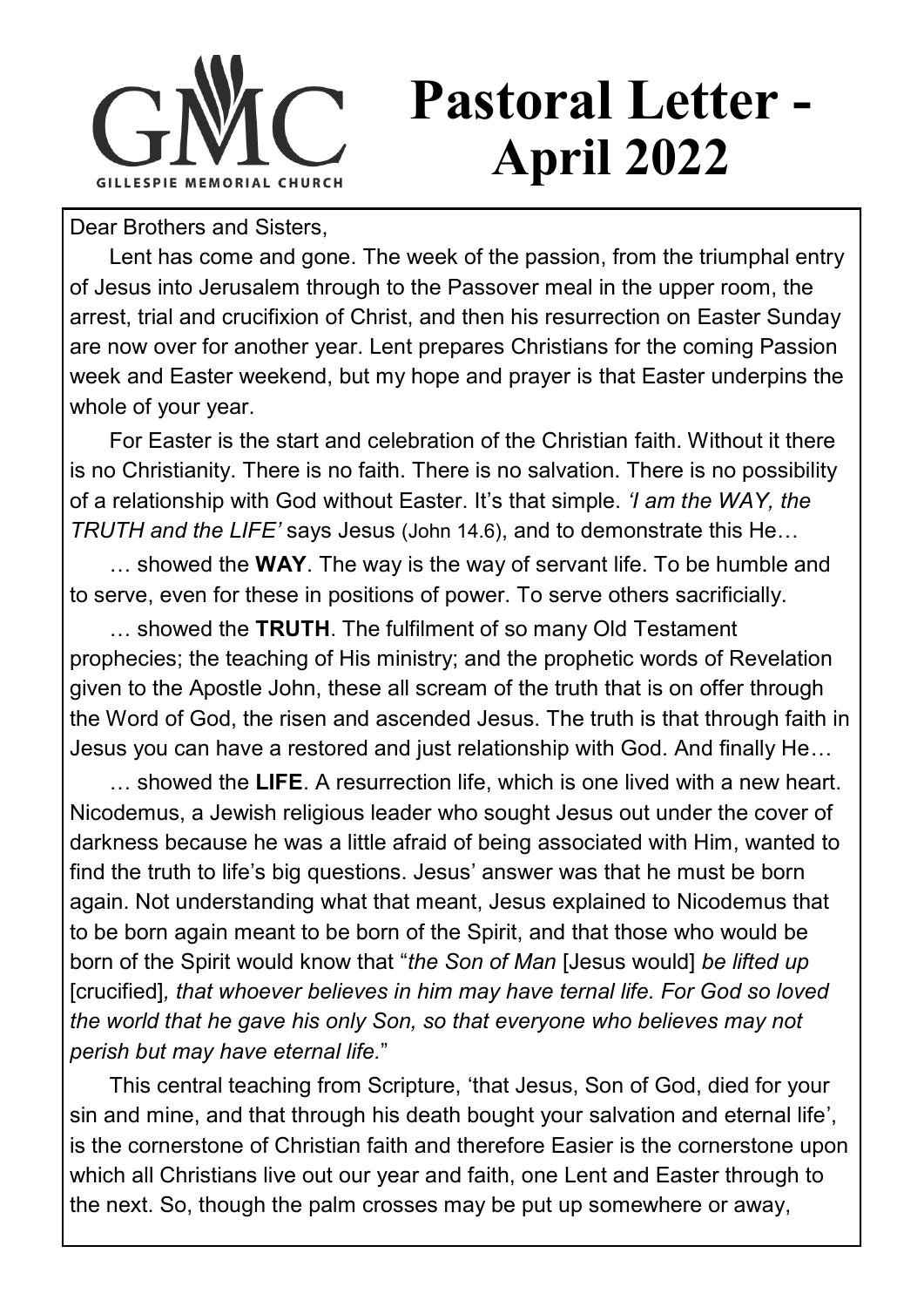

## **Pastoral Letter - April 2022**

Dear Brothers and Sisters,

Lent has come and gone. The week of the passion, from the triumphal entry of Jesus into Jerusalem through to the Passover meal in the upper room, the arrest, trial and crucifixion of Christ, and then his resurrection on Easter Sunday are now over for another year. Lent prepares Christians for the coming Passion week and Easter weekend, but my hope and prayer is that Easter underpins the whole of your year.

For Easter is the start and celebration of the Christian faith. Without it there is no Christianity. There is no faith. There is no salvation. There is no possibility of a relationship with God without Easter. It's that simple. *'I am the WAY, the TRUTH and the LIFE'* says Jesus (John 14.6), and to demonstrate this He…

… showed the **WAY**. The way is the way of servant life. To be humble and to serve, even for these in positions of power. To serve others sacrificially.

… showed the **TRUTH**. The fulfilment of so many Old Testament prophecies; the teaching of His ministry; and the prophetic words of Revelation given to the Apostle John, these all scream of the truth that is on offer through the Word of God, the risen and ascended Jesus. The truth is that through faith in Jesus you can have a restored and just relationship with God. And finally He…

… showed the **LIFE**. A resurrection life, which is one lived with a new heart. Nicodemus, a Jewish religious leader who sought Jesus out under the cover of darkness because he was a little afraid of being associated with Him, wanted to find the truth to life's big questions. Jesus' answer was that he must be born again. Not understanding what that meant, Jesus explained to Nicodemus that to be born again meant to be born of the Spirit, and that those who would be born of the Spirit would know that "*the Son of Man* [Jesus would] *be lifted up*  [crucified]*, that whoever believes in him may have ternal life. For God so loved the world that he gave his only Son, so that everyone who believes may not perish but may have eternal life.*"

This central teaching from Scripture, 'that Jesus, Son of God, died for your sin and mine, and that through his death bought your salvation and eternal life'. is the cornerstone of Christian faith and therefore Easier is the cornerstone upon which all Christians live out our year and faith, one Lent and Easter through to the next. So, though the palm crosses may be put up somewhere or away,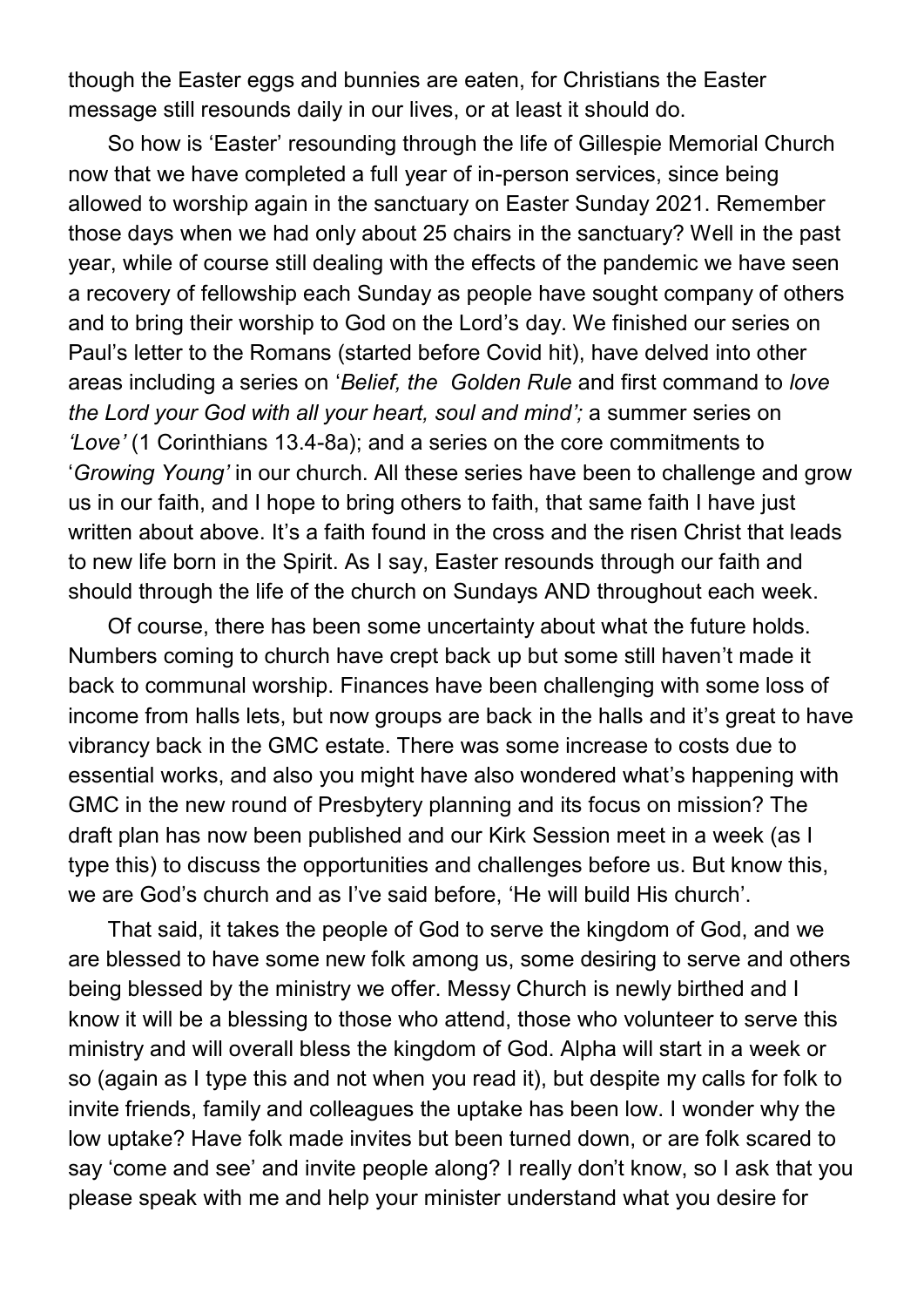though the Easter eggs and bunnies are eaten, for Christians the Easter message still resounds daily in our lives, or at least it should do.

So how is 'Easter' resounding through the life of Gillespie Memorial Church now that we have completed a full year of in-person services, since being allowed to worship again in the sanctuary on Easter Sunday 2021. Remember those days when we had only about 25 chairs in the sanctuary? Well in the past year, while of course still dealing with the effects of the pandemic we have seen a recovery of fellowship each Sunday as people have sought company of others and to bring their worship to God on the Lord's day. We finished our series on Paul's letter to the Romans (started before Covid hit), have delved into other areas including a series on '*Belief, the Golden Rule* and first command to *love the Lord your God with all your heart, soul and mind';* a summer series on *'Love'* (1 Corinthians 13.4-8a); and a series on the core commitments to '*Growing Young'* in our church. All these series have been to challenge and grow us in our faith, and I hope to bring others to faith, that same faith I have just written about above. It's a faith found in the cross and the risen Christ that leads to new life born in the Spirit. As I say, Easter resounds through our faith and should through the life of the church on Sundays AND throughout each week.

Of course, there has been some uncertainty about what the future holds. Numbers coming to church have crept back up but some still haven't made it back to communal worship. Finances have been challenging with some loss of income from halls lets, but now groups are back in the halls and it's great to have vibrancy back in the GMC estate. There was some increase to costs due to essential works, and also you might have also wondered what's happening with GMC in the new round of Presbytery planning and its focus on mission? The draft plan has now been published and our Kirk Session meet in a week (as I type this) to discuss the opportunities and challenges before us. But know this, we are God's church and as I've said before, 'He will build His church'.

That said, it takes the people of God to serve the kingdom of God, and we are blessed to have some new folk among us, some desiring to serve and others being blessed by the ministry we offer. Messy Church is newly birthed and I know it will be a blessing to those who attend, those who volunteer to serve this ministry and will overall bless the kingdom of God. Alpha will start in a week or so (again as I type this and not when you read it), but despite my calls for folk to invite friends, family and colleagues the uptake has been low. I wonder why the low uptake? Have folk made invites but been turned down, or are folk scared to say 'come and see' and invite people along? I really don't know, so I ask that you please speak with me and help your minister understand what you desire for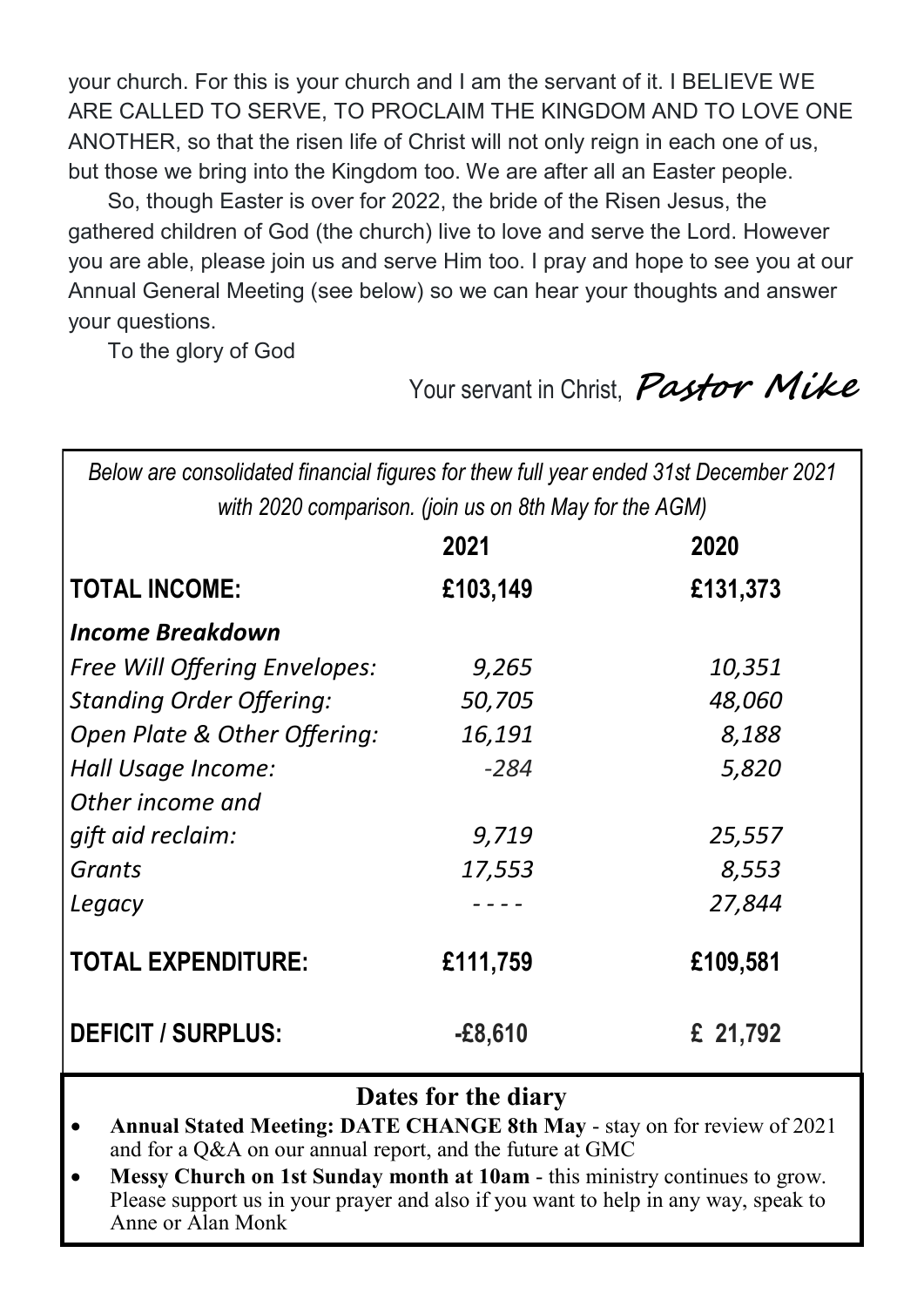your church. For this is your church and I am the servant of it. I BELIEVE WE ARE CALLED TO SERVE, TO PROCLAIM THE KINGDOM AND TO LOVE ONE ANOTHER, so that the risen life of Christ will not only reign in each one of us, but those we bring into the Kingdom too. We are after all an Easter people.

So, though Easter is over for 2022, the bride of the Risen Jesus, the gathered children of God (the church) live to love and serve the Lord. However you are able, please join us and serve Him too. I pray and hope to see you at our Annual General Meeting (see below) so we can hear your thoughts and answer your questions.

To the glory of God

Your servant in Christ, **Pastor Mike** 

*Below are consolidated financial figures for thew full year ended 31st December 2021 with 2020 comparison. (join us on 8th May for the AGM)* 

|                                 | 2021      | 2020     |
|---------------------------------|-----------|----------|
| <b>TOTAL INCOME:</b>            | £103,149  | £131,373 |
| <b>Income Breakdown</b>         |           |          |
| Free Will Offering Envelopes:   | 9,265     | 10,351   |
| <b>Standing Order Offering:</b> | 50,705    | 48,060   |
| Open Plate & Other Offering:    | 16,191    | 8,188    |
| Hall Usage Income:              | $-284$    | 5,820    |
| Other income and                |           |          |
| gift aid reclaim:               | 9,719     | 25,557   |
| Grants                          | 17,553    | 8,553    |
| Legacy                          |           | 27,844   |
| <b>TOTAL EXPENDITURE:</b>       | £111,759  | £109,581 |
| <b>DEFICIT / SURPLUS:</b>       | $-£8,610$ | £ 21,792 |

## **Dates for the diary**

- **Annual Stated Meeting: DATE CHANGE 8th May**  stay on for review of 2021 and for a Q&A on our annual report, and the future at GMC
- **Messy Church on 1st Sunday month at 10am**  this ministry continues to grow. Please support us in your prayer and also if you want to help in any way, speak to Anne or Alan Monk